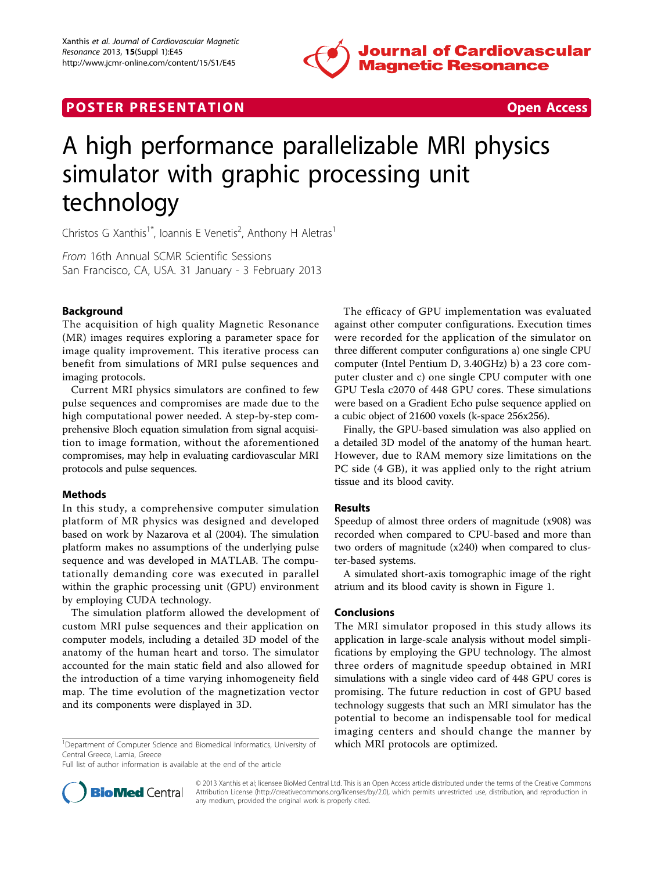

## **POSTER PRESENTATION CONSUMING THE SECOND CONSUMING THE SECOND CONSUMING THE SECOND CONSUMING THE SECOND CONSUMING THE SECOND CONSUMING THE SECOND CONSUMING THE SECOND CONSUMING THE SECOND CONSUMING THE SECOND CONSUMING**



# A high performance parallelizable MRI physics simulator with graphic processing unit technology

Christos G Xanthis<sup>1\*</sup>, Ioannis E Venetis<sup>2</sup>, Anthony H Aletras<sup>1</sup>

From 16th Annual SCMR Scientific Sessions San Francisco, CA, USA. 31 January - 3 February 2013

### Background

The acquisition of high quality Magnetic Resonance (MR) images requires exploring a parameter space for image quality improvement. This iterative process can benefit from simulations of MRI pulse sequences and imaging protocols.

Current MRI physics simulators are confined to few pulse sequences and compromises are made due to the high computational power needed. A step-by-step comprehensive Bloch equation simulation from signal acquisition to image formation, without the aforementioned compromises, may help in evaluating cardiovascular MRI protocols and pulse sequences.

#### Methods

In this study, a comprehensive computer simulation platform of MR physics was designed and developed based on work by Nazarova et al (2004). The simulation platform makes no assumptions of the underlying pulse sequence and was developed in MATLAB. The computationally demanding core was executed in parallel within the graphic processing unit (GPU) environment by employing CUDA technology.

The simulation platform allowed the development of custom MRI pulse sequences and their application on computer models, including a detailed 3D model of the anatomy of the human heart and torso. The simulator accounted for the main static field and also allowed for the introduction of a time varying inhomogeneity field map. The time evolution of the magnetization vector and its components were displayed in 3D.

<sup>1</sup>Department of Computer Science and Biomedical Informatics, University of which MRI protocols are optimized. Central Greece, Lamia, Greece

Full list of author information is available at the end of the article

The efficacy of GPU implementation was evaluated against other computer configurations. Execution times were recorded for the application of the simulator on three different computer configurations a) one single CPU computer (Intel Pentium D, 3.40GHz) b) a 23 core computer cluster and c) one single CPU computer with one GPU Tesla c2070 of 448 GPU cores. These simulations were based on a Gradient Echo pulse sequence applied on a cubic object of 21600 voxels (k-space 256x256).

Finally, the GPU-based simulation was also applied on a detailed 3D model of the anatomy of the human heart. However, due to RAM memory size limitations on the PC side (4 GB), it was applied only to the right atrium tissue and its blood cavity.

#### Results

Speedup of almost three orders of magnitude (x908) was recorded when compared to CPU-based and more than two orders of magnitude (x240) when compared to cluster-based systems.

A simulated short-axis tomographic image of the right atrium and its blood cavity is shown in Figure [1.](#page-1-0)

#### Conclusions

The MRI simulator proposed in this study allows its application in large-scale analysis without model simplifications by employing the GPU technology. The almost three orders of magnitude speedup obtained in MRI simulations with a single video card of 448 GPU cores is promising. The future reduction in cost of GPU based technology suggests that such an MRI simulator has the potential to become an indispensable tool for medical imaging centers and should change the manner by



© 2013 Xanthis et al; licensee BioMed Central Ltd. This is an Open Access article distributed under the terms of the Creative Commons Attribution License [\(http://creativecommons.org/licenses/by/2.0](http://creativecommons.org/licenses/by/2.0)), which permits unrestricted use, distribution, and reproduction in any medium, provided the original work is properly cited.